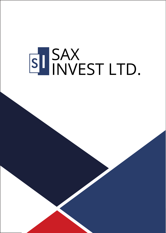# SI SAX<br>INVEST LTD.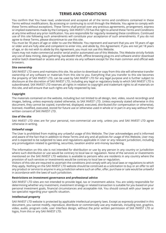# **TERMS AND CONDITIONS**

You confirm that You have read, understood and accepted all of the terms and conditions contained in these Terms without modifications. By accessing or continuing to scroll through the Website, You agree to comply with these Terms without exceptions. These Terms shall prevail over any previous agreements, arrangement, express or implied statements made by the Company. SAX INVEST LTD has the right to amend these Terms and Conditions at any time without any prior notification. You are responsible for regularly reviewing these conditions. Continued use of this site following such amendments will constitute your acceptance of such amendments. If you do not agree to these Terms, please discontinue to use this site.

You must be 18 years of age or older to use the Website. You represent and warrant that you are 18 years of age or older and are fully able and competent to enter into, and abide by, this Agreement. If you are not yet 18 years of age, or do not wish to abide by this Agreement, you must not use this Website.

Users may not make commercial and/or serial and/or automated use of this Website. This Website strictly forbids any use of data mining, data gathering, bandwidth theft, offline browsing plug-ins and software and/or download and/or batch download or access and any access via any software except for the main common and official web browsers.

# **Site ownership**

SAX INVEST LTD owns and maintains this site. No action to download or copy from this site will otherwise transfer ownership of any software or materials from this site to you. Everything that you transfer to this site becomes the property of SAX INVEST LTD, can be used by SAX INVEST LTD for any legal purpose and is further subject to disclosure at the discretion of SAX INVEST LTD, including any legal or regulatory body to which SAX INVEST LTD is subordinated. SAX INVEST LTD reserves all rights in relation to copyright and trademark rights to all materials on this site, and will ensure that such rights are fully respected by law.

# **Copyright**

The materials contained on the website, including but not limited to all design, text, video, sound recordings and images, belong, unless expressly stated otherwise, to SAX INVEST LTD. Unless expressly stated otherwise in this document, they cannot be copied, transferred, displayed, executed, distributed (for compensation or otherwise), licensed, modified, executed, stored for future use or otherwise used in whole or in part in any way without Prior written consent of SAX INVEST LTD.

#### **Use of the site**

SAX INVEST LTD sites are for your personal, non-commercial use only, unless you and SAX INVEST LTD agree otherwise in writing.

#### **Unlawful usage**

The User is prohibited from making any unlawful usage of this Website. The User acknowledges and is informed and aware of the fact that in addition to these Terms and any and all policies for usage of this Website, User may and is expected to be subjected to laws and regulations applicable in User or any relevant jurisdiction, including any promulgation related to gambling, securities, taxation and/or anti-money laundering.

The information on this site is not intended for distribution or use by any person in any country or jurisdiction where such distribution or use would be contrary to local law or regulation. None of the services or investments mentioned on the SAX INVEST LTD websites is available to persons who are residents in any country where the provision of such services or investments would be contrary to local law or regulation.

Visitors of this site are required to ascertain the conditions and comply with any local laws or regulations to which they apply. Nothing on the SAX INVEST LTD website should be construed as a solicitation to buy or an offer to sell any product or service to anyone in any jurisdiction where such an offer, offer, purchase or sale would be unlawful in accordance with the laws of such jurisdiction.

#### **Restrictions on investment governance and professional advice**

SAX INVEST LTD sites are not intended to provide legal, tax or investment advice. You are solely responsible for determining whether any investment, investment strategy or related transaction is suitable for you based on your personal investment goals, financial circumstances and acceptable risk. You should consult with your lawyer or tax specialist regarding your specific situation.

#### **Intellectual property**

SAX INVEST LTD website is protected by applicable intellectual property laws. Except as expressly provided in this document, you cannot modify, reproduce, distribute or commercially use any materials, including text, graphics, video, audio, program code, user interface design, without the prior written permission of SAX INVEST LTD or logos, from this or any SAX INVEST LTD.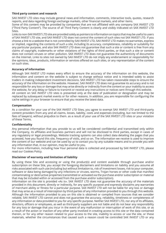# **Third party content and research**

SAX INVEST LTD sites may include general news and information, comments, interactive tools, quotes, research reports, and data regarding foreign exchange markets, other financial markets, and other items.

Some of this content may be provided by companies that are not affiliated with any company SAX INVEST LTD ("Third Party Content"). The source of all Third Party Content is clearly and visibly indicated on SAX INVEST LTD Sites.

Links to non-SAX INVEST LTD site are provided solely as pointers to information on topics that may be useful to users of SAX INVEST LTD site, and SAX INVEST LTD does not control the content of such sites not SAX INVEST LTD. If you choose a link to a website that is not controlled by SAX INVEST LTD, SAX INVEST LTD makes no warranties, express or implied, regarding the contents of such a site, including its accuracy, completeness, reliability or suitability for any particular purpose, and also SAX INVEST LTD does not guarantee that such a site or content is free from any claims of copyright, trademarks or other violations of the rights of third parties, or that such a site or content does not contain viruses or other pollution. SAX INVEST LTD does not guarantee the authenticity of documents on the Internet. Links to sites not owned by SAX INVEST LTD do not imply any endorsement or responsibility for the opinions, ideas, products, information or services offered on such sites, or any representation of the content on such sites.

# **Accuracy of information**

Although SAX INVEST LTD makes every effort to ensure the accuracy of the information on this website, the information and content on the website is subject to change without notice and is intended solely to assist traders in making independent investment decisions. SAX INVEST LTD has taken reasonable steps to ensure the accuracy of the information on the website. However, SAX INVEST LTD does not guarantee its accuracy and is not responsible for any loss or damage that may arise directly or indirectly from the content or your inability to access the website, for any delay or failure to transmit or receive any instructions or notices sent through this website. All content on SAX INVEST LTD sites is presented only at the date of publication or designation and may be replaced by subsequent market events or for other reasons. In addition, you are responsible for configuring the cache settings in your browser to ensure that you receive the latest data.

#### **Compensation**

As a condition for your use of the SAX INVEST LTD Sites, you agree to exempt SAX INVEST LTD and third-party content providers from any and all claims, losses, liability, costs and expenses (including, but not limited to the fees of lawyers), without prejudice to them. as a result of your use of the SAX INVEST LTD sites or your violation of these Terms.

#### **Confidentiality**

Any personal information that you provide to us will be considered confidential and transmitted only within the Company, its affiliates and business partners and will not be disclosed to third parties, except in cases of any regulatory or legal proceedings. Website tracking systems can also collect data detailing the pages that you accessed, how you found this site, frequency of visits, and so on. The information we receive is used to improve the content of our website and can be used by us to contact you by any suitable means and to provide you with any information that, in our opinion, may be useful to you.

For more information, including how Your personal data is collected and processed by SAX INVEST LTD, please read our Cookies Policy.

#### **Disclaimer of warranty and limitation of liability**

By using these Site and accessing or using the product(s) and content available through purchase and/or subscription on these Site, you accept the foregoing disclaimers and limitations on liability and you assume all risks associated with such use (including but without limitation to, risk of investment losses, risk to your computer, software or data being damaged by any infections or viruses, worms, Trojan horses or other code that manifest contaminating or destructive properties transmitted or activated via the purchase and/or subscription or material that may be included within or accessed from the purchase and/or subscription).

Information on the site is provided «As is». SAX INVEST LTD does not guarantee the accuracy of the materials provided in this document, directly or indirectly, for any specific purpose and expressly disclaims any warranties of merchant ability or fitness for a particular purpose. SAX INVEST LTD will not be liable for any loss or damage that may arise as a result of interception by third parties of any information provided to you through this website. Although the information provided to you on this site is obtained or compiled from sources that we consider reliable, SAX INVEST LTD cannot and does not guarantee the accuracy, reliability, timeliness or completeness of any information or data provided to you for any specific purpose. Neither SAX INVEST LTD, nor any of its affiliates, directors, officers or employees, as well as third-party suppliers are not liable and do not bear any responsibility for any loss or damage that you incur in the event of any malfunction or interruption of work of this site, or as a result of the action or inaction of any other party involved in creating access to this site or the data contained therein, or for any other reason related to your access to the site, inability to access or use the site, or these materials, whether the circumstances that caused such a reason could be controlled SAX INVEST LTD or any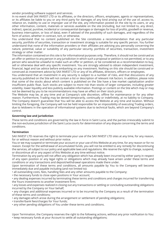vendor providing software support and services.

In no event shall SAX INVEST LTD or its affiliates, or the directors, officers, employees, agents or representatives, or its affiliates be liable to you or any third party for damages of any kind arising out of the use of, access to, reliance on, inability to use or improper use of the site, any information posted on the site by its users, or any other information, content, materials or services available on the site (including, but not limited to, any direct, indirect, special, punitive, incidental or consequential damages or damages for loss of profits, goodwill or revenue, business interruption, or loss of data), even if advised of the possibility of such damages, and regardless of the form of action, whether in contract, tort, or otherwise.

You understand that no content published on the Site constitutes a recommendation that any particular security, portfolio of securities, transaction or investment strategy is suitable for any specific person. You further understand that none of the information providers or their affiliates are advising you personally concerning the nature, potential, value or suitability of any particular security, portfolio of securities, transaction, investment strategy or other matter.

The information contained on this site is for informational purposes only. Therefore, it should not be construed as an offer or petition to any person in any jurisdiction in which such a proposal or petition is not permitted, or to any person who would be unlawful to make such an offer or petition, or be considered as a recommendation to buy, sell or otherwise deal with any specific investment. You are strongly advised to obtain independent investment, financial, legal and tax advice before embarking on any investment. Nothing on this site should be construed or construed as investment advice by SAX INVEST LTD or any of its affiliates, directors, officers or employees.

You understand that an investment in any security is subject to a number of risks, and that discussions of any security published on the Site will not contain a list or description of relevant risk factors. In addition, please note that some of the stocks about which content is published on the Site have a low market capitalization and/or insufficient public float. Such stocks are subject to more risk than stocks of larger companies, including greater volatility, lower liquidity and less publicly available information. Postings or content on the Site which may or may not be deemed by you to be recommendations may have an effect on their stock prices.

The Website may be, at any time and at Company's sole discretion, offline for maintenance or for any other reason. Furthermore, Trading may be denied temporarily, continually or indefinitely, at no liability to Company. The Company doesn't guarantee that You will be able to access the Website at any time and location. Without limiting the foregoing, the Company will not be held responsible for an impossibility of executing Trading orders, due to letdowns in the operation of informational systems due to technical faults, which are beyond Company's control.

# **Governing law and jurisdiction**

These terms and conditions are governed by the law in force in Saint Lucia, and the parties irrevocably submit to the non-exclusive jurisdiction of the Saint Lucia courts for determination of any dispute concerning the terms and conditions.

# **Termination**

SAX INVEST LTD reserves the right to terminate your use of the SAX INVEST LTD sites at any time, for any reason, for or without reason and without prior notice.

You or we may suspend or terminate your account or your use of this Website at any time, for any reason or for no reason. Except for the withdrawal of accumulated funds, you will not be entitled to any remedy for discontinuing the services, all subject to our policy and applicable laws and regulations. We reserve the right to change, suspend, or discontinue all or any aspect of this Website at any time without notice.

Termination by any party will not affect any obligation which has already been incurred by either party in respect of any open position or any legal rights or obligations which may already have arisen under these terms and conditions or any transactions and deposit/withdrawal operations made there under.

Upon termination of these terms and conditions, all amounts payable by You to the Company will become immediately due and payable including (and not limited to):

• all outstanding costs, fees, handling fees and any other amounts payable to the Company;

• the necessary funds to close open positions in Your account;

• any dealing expenses incurred by terminating these terms and conditions and charges incurred for transferring the Yours investments to another investment firm;

• any losses and expenses realized in closing out any transactions or settling or concluding outstanding obligations incurred by the Company on Your behalf;

• any charges and additional expenses incurred or to be incurred by the Company as a result of the termination of these terms and conditions;

• any damages which arose during the arrangement or settlement of pending obligations;

- transfer/bank fees/charges for Your funds;
- any other pending obligations of You under these terms and conditions.

Upon Termination, the Company reserves the right to the following actions, without any prior notification to You: • keep necessary funds at your Account to settle all outstanding obligations;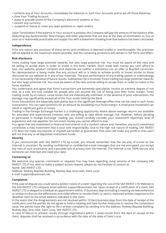- combine any of Your Accounts, consolidate the balances in such Your Accounts and to set off those Balances;
- close Your Trading Account;
- cease to provide access of the Company's electronic systems to You;
- convert any currency;
- suspend or freeze or close any open positions or reject orders;

Upon Termination if the balance in Your account is positive, the Company will pay the amount of the balance after deducting any bank/transfer fees/charges and other payments that are due at the date of termination to You as soon as is reasonably practicable and supply You with a statement showing how that balance has been calculated.

#### **Independence**

If for any reason any provision of these terms and conditions is deemed invalid or unenforceable, this provision will be applied to the maximum extent possible, and the remaining provisions will remain in full force and effect.

#### **Risk disclosure**

Forex trading have large potential rewards, but also large potential risk. You must be aware of the risks and be willing to accept them in order to invest in the forex market. Don't trade with money you can't afford to lose. Our website, product contents, and materials are neither a solicitation nor an offer to Buy/Sell currencies. No representation is being made that any account will or is likely to achieve profits or losses similar to those discussed on our website or in any of our materials. The past performance of any trading system or methodology is not necessarily indicative of future results. Substantial risk is involved. Forex trading has large potential rewards, but also large potential risk. You must be aware of the risks and be willing to accept them in order to invest in the Forex markets.

You understand and agree that Forex transactions are extremely speculative, involve an extreme degree of risk and, as a rule, are only suitable for people who can assume the risk of losing over their Forex margin. Forex trading could, by its nature, cause losses that are theoretically unlimited. In the absence of prior intervention, the damage may significantly exceed all of the Your assets held by the Bank.

Forex transactions are especially speculative due to the significant leverage effect that can be used in such Forex transactions. You can open positions for an amount far exceeding Your Forex margin. A small price movement can result in significant gains or losses.

Trading in the Foreign Exchange market is a challenging opportunity where above average returns are available for educated and experienced investors who are willing to take above average risk. However, before deciding to participate in Foreign Exchange trading, you should carefully consider your investment objectives, level of experience and risk appetite. Do not invest money you cannot afford to lose.

You agree that any investment in financial instruments is of a random nature and, therefore, any such investment constitutes a risky investment that is your sole responsibility. Due to the high risk nature of trading, SAX INVEST LTD does not make any express or implied warranties or guarantees that users will make any profit or that users will not lose any or all deposited investment funds.

# **Security**

If you communicate with SAX INVEST LTD by e-mail, you should remember that the security of e-mail on the Internet is uncertain. By sending confidential or confidential e-mail messages that are not encrypted, you accept the risks of such uncertainty and a possible lack of privacy over the Internet. The Internet is not 100% secure, and someone can intercept and read your data.

# **Contacting us**

We welcome any queries, comments or requests You may have regarding using services of the company SAX INVEST LTD If You wish to make a subject access request, please do not hesitate to contact at: Name: SAX INVEST LTD

Address: Rodney Bayside Building, Rodney Bay, Gros-Islet, Saint Lucia

E-mail: support@saxinvest.net

# **Complaints**

If the case of dispute you could send a written notice of a claim regarding the use of the SAX INVEST LTD Website to the SAX INVEST LTD company email address support@saxinvest.net. Upon receipt of a notification of a claim, SAX INVEST LTD is obliged to schedule an appointment within 10 business days (including a meeting via teleconference or similar) to discuss the differences and make efforts to resolve them, or send a reasoned written response to the deadline claim to the email address indicated in the claim.

In the event that the disagreements are not resolved within 10 (ten) business days from the date of receipt of the notification and the parties do not agree to hold a meeting and take further measures to resolve the contentious issue, the parties have the right to file a written complaint by sending it to the address: Rodney Bayside Building, Rodney Bay, Gros-Islet, Saint Lucia, SAX INVEST LTD.

In case of failure to achieve results through negotiations within 1 (one) month from the date of receipt of the claim, disputes shall be resolved in accordance with the laws of the state of Saint Lucia.